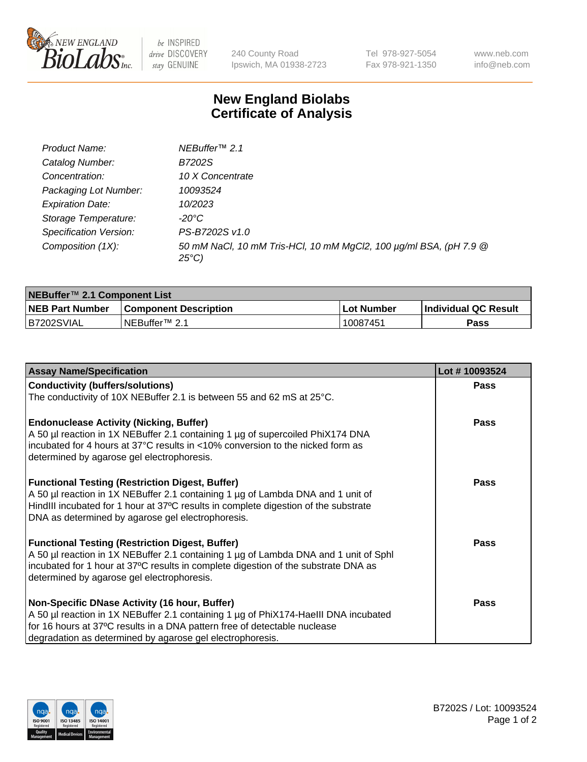

 $be$  INSPIRED drive DISCOVERY stay GENUINE

240 County Road Ipswich, MA 01938-2723 Tel 978-927-5054 Fax 978-921-1350 www.neb.com info@neb.com

## **New England Biolabs Certificate of Analysis**

| Product Name:           | NEBuffer <sup>™</sup> 2.1                                                          |
|-------------------------|------------------------------------------------------------------------------------|
| Catalog Number:         | B7202S                                                                             |
| Concentration:          | 10 X Concentrate                                                                   |
| Packaging Lot Number:   | 10093524                                                                           |
| <b>Expiration Date:</b> | 10/2023                                                                            |
| Storage Temperature:    | -20°C                                                                              |
| Specification Version:  | PS-B7202S v1.0                                                                     |
| Composition (1X):       | 50 mM NaCl, 10 mM Tris-HCl, 10 mM MgCl2, 100 µg/ml BSA, (pH 7.9 @<br>$25^{\circ}C$ |

| NEBuffer <sup>™</sup> 2.1 Component List |                              |            |                      |  |  |
|------------------------------------------|------------------------------|------------|----------------------|--|--|
| <b>NEB Part Number</b>                   | <b>Component Description</b> | Lot Number | Individual QC Result |  |  |
| B7202SVIAL                               | NEBuffer™ 2.1                | 10087451   | <b>Pass</b>          |  |  |

| <b>Assay Name/Specification</b>                                                                                                                                                                                                                                                       | Lot #10093524 |
|---------------------------------------------------------------------------------------------------------------------------------------------------------------------------------------------------------------------------------------------------------------------------------------|---------------|
| <b>Conductivity (buffers/solutions)</b>                                                                                                                                                                                                                                               | Pass          |
| The conductivity of 10X NEBuffer 2.1 is between 55 and 62 mS at 25°C.                                                                                                                                                                                                                 |               |
| <b>Endonuclease Activity (Nicking, Buffer)</b><br>A 50 µl reaction in 1X NEBuffer 2.1 containing 1 µg of supercoiled PhiX174 DNA<br>incubated for 4 hours at 37°C results in <10% conversion to the nicked form as<br>determined by agarose gel electrophoresis.                      | <b>Pass</b>   |
| <b>Functional Testing (Restriction Digest, Buffer)</b><br>A 50 µl reaction in 1X NEBuffer 2.1 containing 1 µg of Lambda DNA and 1 unit of<br>HindIII incubated for 1 hour at 37°C results in complete digestion of the substrate<br>DNA as determined by agarose gel electrophoresis. | <b>Pass</b>   |
| <b>Functional Testing (Restriction Digest, Buffer)</b><br>A 50 µl reaction in 1X NEBuffer 2.1 containing 1 µg of Lambda DNA and 1 unit of Sphl<br>incubated for 1 hour at 37°C results in complete digestion of the substrate DNA as<br>determined by agarose gel electrophoresis.    | Pass          |
| Non-Specific DNase Activity (16 hour, Buffer)<br>A 50 µl reaction in 1X NEBuffer 2.1 containing 1 µg of PhiX174-HaellI DNA incubated<br>for 16 hours at 37°C results in a DNA pattern free of detectable nuclease<br>degradation as determined by agarose gel electrophoresis.        | Pass          |